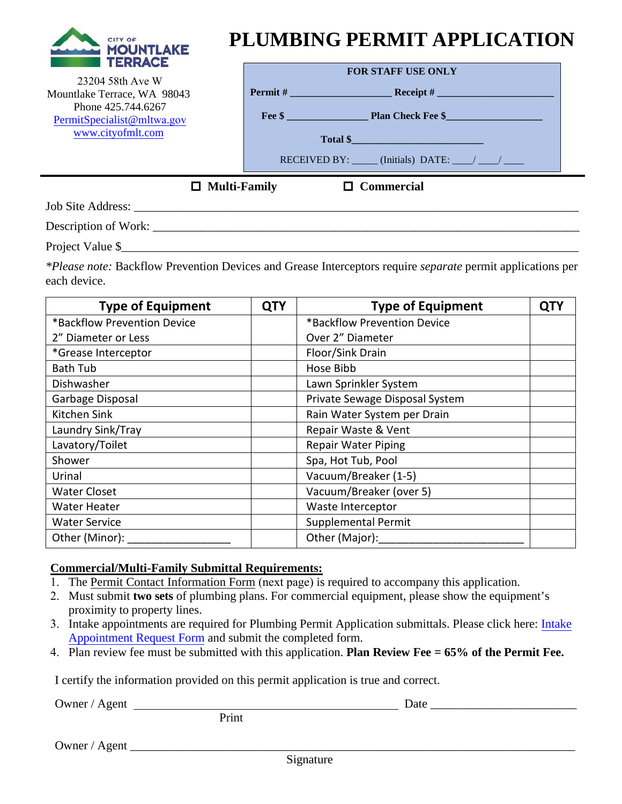

23204 58th Ave W Mountlake Terrace, WA 98043 Phone 425.744.6267 [PermitSpecialist@](mailto:PermitSpecialist@ci.mlt.wa.us)mltwa.gov [www.cityofmlt](http://www.cityofmlt.com/).com

## **PLUMBING PERMIT APPLICATION**

| <b>FOR STAFF USE ONLY</b> |                                                 |  |  |  |  |
|---------------------------|-------------------------------------------------|--|--|--|--|
| Permit#                   |                                                 |  |  |  |  |
|                           | Fee \$                                          |  |  |  |  |
|                           | Total \$                                        |  |  |  |  |
|                           | RECEIVED BY: $\qquad$ (Initials) DATE: $\qquad$ |  |  |  |  |

**Multi-Family Commercial**

Job Site Address: \_\_\_\_\_\_\_\_\_\_\_\_\_\_\_\_\_\_\_\_\_\_\_\_\_\_\_\_\_\_\_\_\_\_\_\_\_\_\_\_\_\_\_\_\_\_\_\_\_\_\_\_\_\_\_\_\_\_\_\_\_\_\_\_\_\_\_\_\_\_\_\_\_

Description of Work: \_\_\_\_\_\_\_\_\_\_\_\_\_\_\_\_\_\_\_\_\_\_\_\_\_\_\_\_\_\_\_\_\_\_\_\_\_\_\_\_\_\_\_\_\_\_\_\_\_\_\_\_\_\_\_\_\_\_\_\_\_\_\_\_\_\_\_\_\_\_

Project Value \$

*\*Please note:* Backflow Prevention Devices and Grease Interceptors require *separate* permit applications per each device.

| <b>Type of Equipment</b>    | <b>QTY</b> | <b>Type of Equipment</b>       | QTY |
|-----------------------------|------------|--------------------------------|-----|
| *Backflow Prevention Device |            | *Backflow Prevention Device    |     |
| 2" Diameter or Less         |            | Over 2" Diameter               |     |
| *Grease Interceptor         |            | Floor/Sink Drain               |     |
| <b>Bath Tub</b>             |            | Hose Bibb                      |     |
| Dishwasher                  |            | Lawn Sprinkler System          |     |
| Garbage Disposal            |            | Private Sewage Disposal System |     |
| Kitchen Sink                |            | Rain Water System per Drain    |     |
| Laundry Sink/Tray           |            | Repair Waste & Vent            |     |
| Lavatory/Toilet             |            | <b>Repair Water Piping</b>     |     |
| Shower                      |            | Spa, Hot Tub, Pool             |     |
| Urinal                      |            | Vacuum/Breaker (1-5)           |     |
| <b>Water Closet</b>         |            | Vacuum/Breaker (over 5)        |     |
| <b>Water Heater</b>         |            | Waste Interceptor              |     |
| <b>Water Service</b>        |            | <b>Supplemental Permit</b>     |     |
| Other (Minor):              |            | Other (Major):                 |     |

## **Commercial/Multi-Family Submittal Requirements:**

- 1. The [Permit Contact Information Form](https://www.cityofmlt.com/DocumentCenter/View/20982/Permit-Contact-Information---Required-with-all-permits?bidId=) (next page) is required to accompany this application.
- 2. Must submit **two sets** of plumbing plans. For commercial equipment, please show the equipment's proximity to property lines.
- 3. Intake appointments are required for Plumbing Permit Application submittals. Please click here: [Intake](https://www.cityofmlt.com/FormCenter/Development-Services-14/Intake-Appointment-Submission-Form-95) [Appointment Request Form](https://www.cityofmlt.com/FormCenter/Development-Services-14/Intake-Appointment-Submission-Form-95) and submit the completed form.
- 4. Plan review fee must be submitted with this application. **Plan Review Fee = 65% of the Permit Fee.**

I certify the information provided on this permit application is true and correct.

Owner / Agent Date Date

Print

Owner / Agent